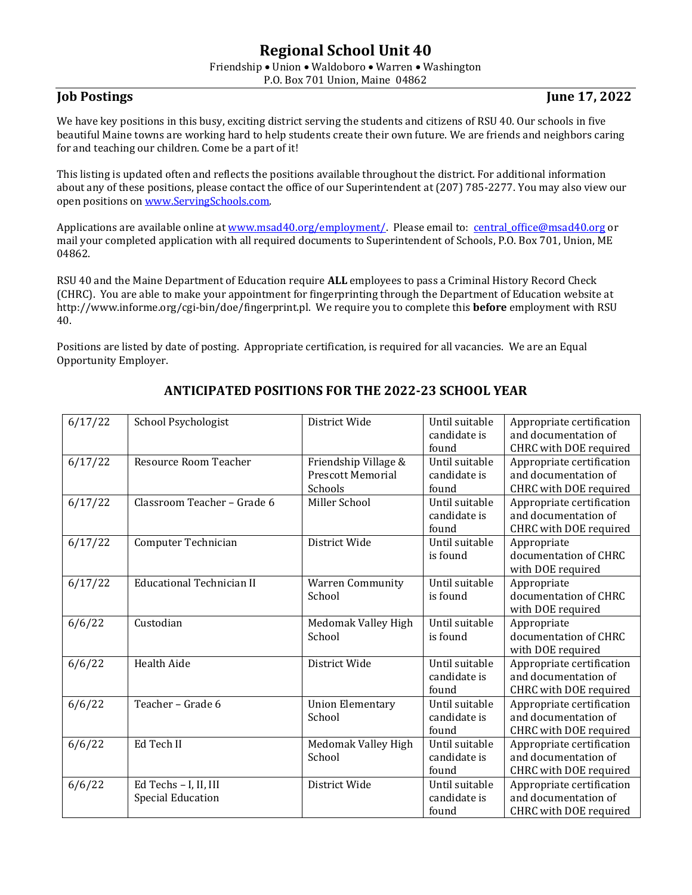# **Regional School Unit 40**

Friendship • Union • Waldoboro • Warren • Washington

P.O. Box 701 Union, Maine 04862

### **Job Postings** June 17, 2022

We have key positions in this busy, exciting district serving the students and citizens of RSU 40. Our schools in five beautiful Maine towns are working hard to help students create their own future. We are friends and neighbors caring for and teaching our children. Come be a part of it!

This listing is updated often and reflects the positions available throughout the district. For additional information about any of these positions, please contact the office of our Superintendent at (207) 785-2277. You may also view our open positions o[n www.ServingSchools.com.](http://www.servingschools.com/)

Applications are available online at [www.msad40.org/employment/.](http://www.msad40.org/) Please email to: central office@msad40.org or mail your completed application with all required documents to Superintendent of Schools, P.O. Box 701, Union, ME 04862.

RSU 40 and the Maine Department of Education require **ALL** employees to pass a Criminal History Record Check (CHRC). You are able to make your appointment for fingerprinting through the Department of Education website at http://www.informe.org/cgi-bin/doe/fingerprint.pl. We require you to complete this **before** employment with RSU 40.

Positions are listed by date of posting. Appropriate certification, is required for all vacancies. We are an Equal Opportunity Employer.

| 6/17/22 | School Psychologist                               | District Wide                                               | Until suitable<br>candidate is<br>found | Appropriate certification<br>and documentation of<br>CHRC with DOE required |
|---------|---------------------------------------------------|-------------------------------------------------------------|-----------------------------------------|-----------------------------------------------------------------------------|
| 6/17/22 | Resource Room Teacher                             | Friendship Village &<br><b>Prescott Memorial</b><br>Schools | Until suitable<br>candidate is<br>found | Appropriate certification<br>and documentation of<br>CHRC with DOE required |
| 6/17/22 | Classroom Teacher - Grade 6                       | Miller School                                               | Until suitable<br>candidate is<br>found | Appropriate certification<br>and documentation of<br>CHRC with DOE required |
| 6/17/22 | Computer Technician                               | District Wide                                               | Until suitable<br>is found              | Appropriate<br>documentation of CHRC<br>with DOE required                   |
| 6/17/22 | <b>Educational Technician II</b>                  | <b>Warren Community</b><br>School                           | Until suitable<br>is found              | Appropriate<br>documentation of CHRC<br>with DOE required                   |
| 6/6/22  | Custodian                                         | Medomak Valley High<br>School                               | Until suitable<br>is found              | Appropriate<br>documentation of CHRC<br>with DOE required                   |
| 6/6/22  | <b>Health Aide</b>                                | District Wide                                               | Until suitable<br>candidate is<br>found | Appropriate certification<br>and documentation of<br>CHRC with DOE required |
| 6/6/22  | Teacher - Grade 6                                 | <b>Union Elementary</b><br>School                           | Until suitable<br>candidate is<br>found | Appropriate certification<br>and documentation of<br>CHRC with DOE required |
| 6/6/22  | Ed Tech II                                        | Medomak Valley High<br>School                               | Until suitable<br>candidate is<br>found | Appropriate certification<br>and documentation of<br>CHRC with DOE required |
| 6/6/22  | Ed Techs - I, II, III<br><b>Special Education</b> | District Wide                                               | Until suitable<br>candidate is<br>found | Appropriate certification<br>and documentation of<br>CHRC with DOE required |

## **ANTICIPATED POSITIONS FOR THE 2022-23 SCHOOL YEAR**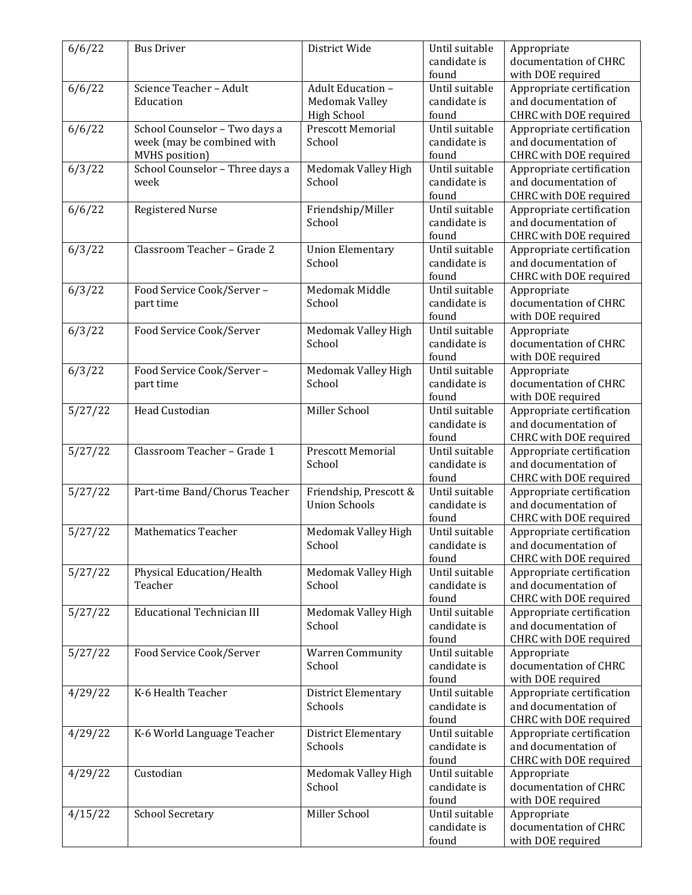| 6/6/22  | <b>Bus Driver</b>                 | District Wide              | Until suitable | Appropriate               |
|---------|-----------------------------------|----------------------------|----------------|---------------------------|
|         |                                   |                            | candidate is   | documentation of CHRC     |
|         |                                   |                            | found          | with DOE required         |
| 6/6/22  | Science Teacher - Adult           | Adult Education -          | Until suitable | Appropriate certification |
|         | Education                         | Medomak Valley             | candidate is   | and documentation of      |
|         |                                   | <b>High School</b>         | found          | CHRC with DOE required    |
| 6/6/22  | School Counselor - Two days a     | <b>Prescott Memorial</b>   | Until suitable | Appropriate certification |
|         | week (may be combined with        | School                     | candidate is   | and documentation of      |
|         |                                   |                            |                |                           |
|         | MVHS position)                    |                            | found          | CHRC with DOE required    |
| 6/3/22  | School Counselor - Three days a   | Medomak Valley High        | Until suitable | Appropriate certification |
|         | week                              | School                     | candidate is   | and documentation of      |
|         |                                   |                            | found          | CHRC with DOE required    |
| 6/6/22  | <b>Registered Nurse</b>           | Friendship/Miller          | Until suitable | Appropriate certification |
|         |                                   | School                     | candidate is   | and documentation of      |
|         |                                   |                            | found          | CHRC with DOE required    |
| 6/3/22  | Classroom Teacher - Grade 2       | <b>Union Elementary</b>    | Until suitable | Appropriate certification |
|         |                                   | School                     | candidate is   | and documentation of      |
|         |                                   |                            | found          | CHRC with DOE required    |
| 6/3/22  | Food Service Cook/Server-         | Medomak Middle             | Until suitable | Appropriate               |
|         | part time                         | School                     | candidate is   | documentation of CHRC     |
|         |                                   |                            | found          | with DOE required         |
| 6/3/22  | Food Service Cook/Server          | Medomak Valley High        | Until suitable | Appropriate               |
|         |                                   | School                     | candidate is   | documentation of CHRC     |
|         |                                   |                            | found          | with DOE required         |
|         |                                   |                            |                |                           |
| 6/3/22  | Food Service Cook/Server-         | Medomak Valley High        | Until suitable | Appropriate               |
|         | part time                         | School                     | candidate is   | documentation of CHRC     |
|         |                                   |                            | found          | with DOE required         |
| 5/27/22 | Head Custodian                    | Miller School              | Until suitable | Appropriate certification |
|         |                                   |                            | candidate is   | and documentation of      |
|         |                                   |                            | found          | CHRC with DOE required    |
| 5/27/22 | Classroom Teacher - Grade 1       | <b>Prescott Memorial</b>   | Until suitable | Appropriate certification |
|         |                                   | School                     | candidate is   | and documentation of      |
|         |                                   |                            | found          | CHRC with DOE required    |
| 5/27/22 | Part-time Band/Chorus Teacher     | Friendship, Prescott &     | Until suitable | Appropriate certification |
|         |                                   | <b>Union Schools</b>       | candidate is   | and documentation of      |
|         |                                   |                            | found          | CHRC with DOE required    |
| 5/27/22 | <b>Mathematics Teacher</b>        | Medomak Valley High        | Until suitable | Appropriate certification |
|         |                                   | School                     | candidate is   | and documentation of      |
|         |                                   |                            | found          | CHRC with DOE required    |
| 5/27/22 | Physical Education/Health         | Medomak Valley High        | Until suitable | Appropriate certification |
|         | Teacher                           | School                     | candidate is   | and documentation of      |
|         |                                   |                            | found          |                           |
|         | <b>Educational Technician III</b> |                            | Until suitable | CHRC with DOE required    |
| 5/27/22 |                                   | Medomak Valley High        |                | Appropriate certification |
|         |                                   | School                     | candidate is   | and documentation of      |
|         |                                   |                            | found          | CHRC with DOE required    |
| 5/27/22 | Food Service Cook/Server          | <b>Warren Community</b>    | Until suitable | Appropriate               |
|         |                                   | School                     | candidate is   | documentation of CHRC     |
|         |                                   |                            | found          | with DOE required         |
| 4/29/22 | K-6 Health Teacher                | <b>District Elementary</b> | Until suitable | Appropriate certification |
|         |                                   | Schools                    | candidate is   | and documentation of      |
|         |                                   |                            | found          | CHRC with DOE required    |
| 4/29/22 | K-6 World Language Teacher        | <b>District Elementary</b> | Until suitable | Appropriate certification |
|         |                                   | Schools                    | candidate is   | and documentation of      |
|         |                                   |                            | found          | CHRC with DOE required    |
| 4/29/22 | Custodian                         | Medomak Valley High        | Until suitable | Appropriate               |
|         |                                   | School                     | candidate is   | documentation of CHRC     |
|         |                                   |                            | found          | with DOE required         |
|         |                                   | Miller School              | Until suitable |                           |
| 4/15/22 | <b>School Secretary</b>           |                            |                | Appropriate               |
|         |                                   |                            | candidate is   | documentation of CHRC     |
|         |                                   |                            | found          | with DOE required         |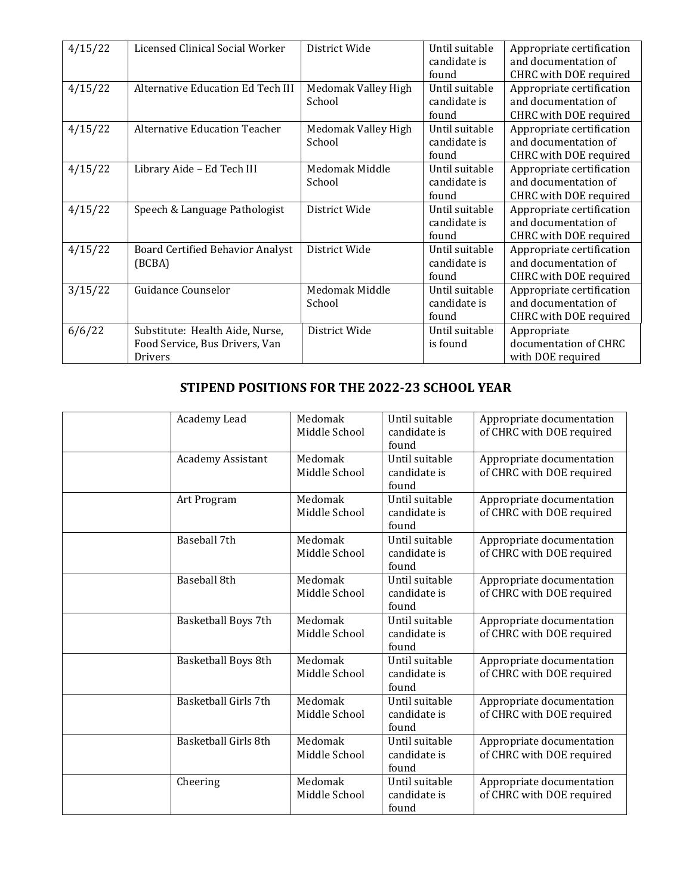| 4/15/22 | Licensed Clinical Social Worker         | District Wide       | Until suitable | Appropriate certification |
|---------|-----------------------------------------|---------------------|----------------|---------------------------|
|         |                                         |                     | candidate is   | and documentation of      |
|         |                                         |                     | found          | CHRC with DOE required    |
| 4/15/22 | Alternative Education Ed Tech III       | Medomak Valley High | Until suitable | Appropriate certification |
|         |                                         | School              | candidate is   | and documentation of      |
|         |                                         |                     | found          | CHRC with DOE required    |
| 4/15/22 | <b>Alternative Education Teacher</b>    | Medomak Valley High | Until suitable | Appropriate certification |
|         |                                         | School              | candidate is   | and documentation of      |
|         |                                         |                     | found          | CHRC with DOE required    |
| 4/15/22 | Library Aide - Ed Tech III              | Medomak Middle      | Until suitable | Appropriate certification |
|         |                                         | School              | candidate is   | and documentation of      |
|         |                                         |                     | found          | CHRC with DOE required    |
| 4/15/22 | Speech & Language Pathologist           | District Wide       | Until suitable | Appropriate certification |
|         |                                         |                     | candidate is   | and documentation of      |
|         |                                         |                     | found          | CHRC with DOE required    |
| 4/15/22 | <b>Board Certified Behavior Analyst</b> | District Wide       | Until suitable | Appropriate certification |
|         | (BCBA)                                  |                     | candidate is   | and documentation of      |
|         |                                         |                     | found          | CHRC with DOE required    |
| 3/15/22 | <b>Guidance Counselor</b>               | Medomak Middle      | Until suitable | Appropriate certification |
|         |                                         | School              | candidate is   | and documentation of      |
|         |                                         |                     | found          | CHRC with DOE required    |
| 6/6/22  | Substitute: Health Aide, Nurse,         | District Wide       | Until suitable | Appropriate               |
|         | Food Service, Bus Drivers, Van          |                     | is found       | documentation of CHRC     |
|         | Drivers                                 |                     |                | with DOE required         |

## **STIPEND POSITIONS FOR THE 2022-23 SCHOOL YEAR**

| Academy Lead             | Medomak<br>Middle School | Until suitable<br>candidate is<br>found | Appropriate documentation<br>of CHRC with DOE required |
|--------------------------|--------------------------|-----------------------------------------|--------------------------------------------------------|
| <b>Academy Assistant</b> | Medomak<br>Middle School | Until suitable<br>candidate is<br>found | Appropriate documentation<br>of CHRC with DOE required |
| Art Program              | Medomak<br>Middle School | Until suitable<br>candidate is<br>found | Appropriate documentation<br>of CHRC with DOE required |
| Baseball 7th             | Medomak<br>Middle School | Until suitable<br>candidate is<br>found | Appropriate documentation<br>of CHRC with DOE required |
| <b>Baseball 8th</b>      | Medomak<br>Middle School | Until suitable<br>candidate is<br>found | Appropriate documentation<br>of CHRC with DOE required |
| Basketball Boys 7th      | Medomak<br>Middle School | Until suitable<br>candidate is<br>found | Appropriate documentation<br>of CHRC with DOE required |
| Basketball Boys 8th      | Medomak<br>Middle School | Until suitable<br>candidate is<br>found | Appropriate documentation<br>of CHRC with DOE required |
| Basketball Girls 7th     | Medomak<br>Middle School | Until suitable<br>candidate is<br>found | Appropriate documentation<br>of CHRC with DOE required |
| Basketball Girls 8th     | Medomak<br>Middle School | Until suitable<br>candidate is<br>found | Appropriate documentation<br>of CHRC with DOE required |
| Cheering                 | Medomak<br>Middle School | Until suitable<br>candidate is<br>found | Appropriate documentation<br>of CHRC with DOE required |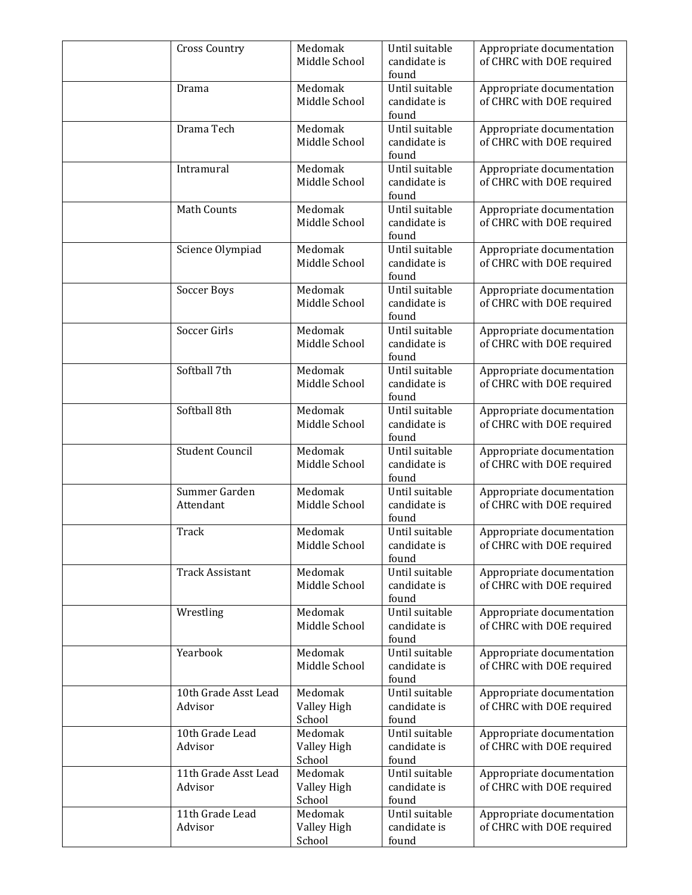| <b>Cross Country</b>            | Medomak<br>Middle School         | Until suitable<br>candidate is<br>found | Appropriate documentation<br>of CHRC with DOE required |
|---------------------------------|----------------------------------|-----------------------------------------|--------------------------------------------------------|
| Drama                           | Medomak<br>Middle School         | Until suitable<br>candidate is<br>found | Appropriate documentation<br>of CHRC with DOE required |
| Drama Tech                      | Medomak<br>Middle School         | Until suitable<br>candidate is<br>found | Appropriate documentation<br>of CHRC with DOE required |
| Intramural                      | Medomak<br>Middle School         | Until suitable<br>candidate is<br>found | Appropriate documentation<br>of CHRC with DOE required |
| <b>Math Counts</b>              | Medomak<br>Middle School         | Until suitable<br>candidate is<br>found | Appropriate documentation<br>of CHRC with DOE required |
| Science Olympiad                | Medomak<br>Middle School         | Until suitable<br>candidate is<br>found | Appropriate documentation<br>of CHRC with DOE required |
| Soccer Boys                     | Medomak<br>Middle School         | Until suitable<br>candidate is<br>found | Appropriate documentation<br>of CHRC with DOE required |
| Soccer Girls                    | Medomak<br>Middle School         | Until suitable<br>candidate is<br>found | Appropriate documentation<br>of CHRC with DOE required |
| Softball 7th                    | Medomak<br>Middle School         | Until suitable<br>candidate is<br>found | Appropriate documentation<br>of CHRC with DOE required |
| Softball 8th                    | Medomak<br>Middle School         | Until suitable<br>candidate is<br>found | Appropriate documentation<br>of CHRC with DOE required |
| <b>Student Council</b>          | Medomak<br>Middle School         | Until suitable<br>candidate is<br>found | Appropriate documentation<br>of CHRC with DOE required |
| Summer Garden<br>Attendant      | Medomak<br>Middle School         | Until suitable<br>candidate is<br>found | Appropriate documentation<br>of CHRC with DOE required |
| Track                           | Medomak<br>Middle School         | Until suitable<br>candidate is<br>found | Appropriate documentation<br>of CHRC with DOE required |
| <b>Track Assistant</b>          | Medomak<br>Middle School         | Until suitable<br>candidate is<br>found | Appropriate documentation<br>of CHRC with DOE required |
| Wrestling                       | Medomak<br>Middle School         | Until suitable<br>candidate is<br>found | Appropriate documentation<br>of CHRC with DOE required |
| Yearbook                        | Medomak<br>Middle School         | Until suitable<br>candidate is<br>found | Appropriate documentation<br>of CHRC with DOE required |
| 10th Grade Asst Lead<br>Advisor | Medomak<br>Valley High<br>School | Until suitable<br>candidate is<br>found | Appropriate documentation<br>of CHRC with DOE required |
| 10th Grade Lead<br>Advisor      | Medomak<br>Valley High<br>School | Until suitable<br>candidate is<br>found | Appropriate documentation<br>of CHRC with DOE required |
| 11th Grade Asst Lead<br>Advisor | Medomak<br>Valley High<br>School | Until suitable<br>candidate is<br>found | Appropriate documentation<br>of CHRC with DOE required |
| 11th Grade Lead<br>Advisor      | Medomak<br>Valley High<br>School | Until suitable<br>candidate is<br>found | Appropriate documentation<br>of CHRC with DOE required |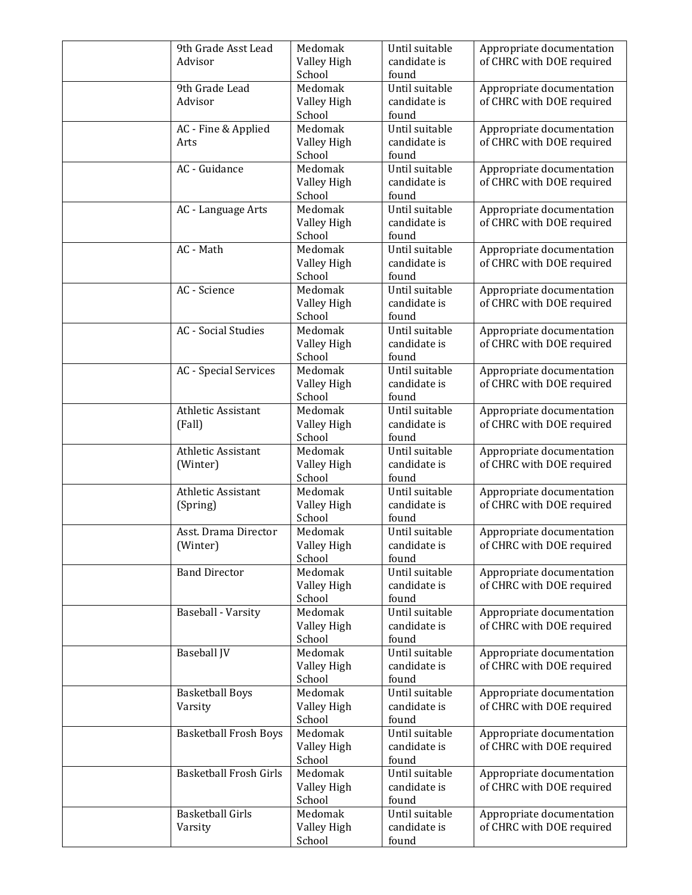| 9th Grade Asst Lead           | Medomak                | Until suitable                 | Appropriate documentation                              |
|-------------------------------|------------------------|--------------------------------|--------------------------------------------------------|
| Advisor                       | Valley High<br>School  | candidate is<br>found          | of CHRC with DOE required                              |
| 9th Grade Lead                | Medomak                | Until suitable                 | Appropriate documentation                              |
| Advisor                       | Valley High            | candidate is                   | of CHRC with DOE required                              |
|                               | School                 | found                          |                                                        |
| AC - Fine & Applied           | Medomak                | Until suitable                 | Appropriate documentation                              |
| Arts                          | Valley High            | candidate is                   | of CHRC with DOE required                              |
| AC - Guidance                 | School                 | found                          |                                                        |
|                               | Medomak<br>Valley High | Until suitable<br>candidate is | Appropriate documentation<br>of CHRC with DOE required |
|                               | School                 | found                          |                                                        |
| AC - Language Arts            | Medomak                | Until suitable                 | Appropriate documentation                              |
|                               | Valley High            | candidate is                   | of CHRC with DOE required                              |
|                               | School                 | found                          |                                                        |
| AC - Math                     | Medomak                | Until suitable                 | Appropriate documentation                              |
|                               | Valley High            | candidate is                   | of CHRC with DOE required                              |
|                               | School                 | found                          |                                                        |
| AC - Science                  | Medomak                | Until suitable                 | Appropriate documentation                              |
|                               | Valley High<br>School  | candidate is                   | of CHRC with DOE required                              |
| <b>AC</b> - Social Studies    | Medomak                | found<br>Until suitable        | Appropriate documentation                              |
|                               | Valley High            | candidate is                   | of CHRC with DOE required                              |
|                               | School                 | found                          |                                                        |
| <b>AC</b> - Special Services  | Medomak                | Until suitable                 | Appropriate documentation                              |
|                               | Valley High            | candidate is                   | of CHRC with DOE required                              |
|                               | School                 | found                          |                                                        |
| Athletic Assistant            | Medomak                | Until suitable                 | Appropriate documentation                              |
| (Fall)                        | Valley High            | candidate is                   | of CHRC with DOE required                              |
|                               | School                 | found                          |                                                        |
| Athletic Assistant            | Medomak                | Until suitable                 | Appropriate documentation                              |
| (Winter)                      | Valley High<br>School  | candidate is<br>found          | of CHRC with DOE required                              |
| Athletic Assistant            | Medomak                | Until suitable                 | Appropriate documentation                              |
| (Spring)                      | Valley High            | candidate is                   | of CHRC with DOE required                              |
|                               | School                 | found                          |                                                        |
| Asst. Drama Director          | Medomak                | Until suitable                 | Appropriate documentation                              |
| (Winter)                      | Valley High            | candidate is                   | of CHRC with DOE required                              |
|                               | School                 | found                          |                                                        |
| <b>Band Director</b>          | Medomak                | Until suitable                 | Appropriate documentation                              |
|                               | Valley High            | candidate is<br>found          | of CHRC with DOE required                              |
| <b>Baseball - Varsity</b>     | School<br>Medomak      | Until suitable                 | Appropriate documentation                              |
|                               | Valley High            | candidate is                   | of CHRC with DOE required                              |
|                               | School                 | found                          |                                                        |
| <b>Baseball JV</b>            | Medomak                | Until suitable                 | Appropriate documentation                              |
|                               | Valley High            | candidate is                   | of CHRC with DOE required                              |
|                               | School                 | found                          |                                                        |
| <b>Basketball Boys</b>        | Medomak                | Until suitable                 | Appropriate documentation                              |
| Varsity                       | Valley High            | candidate is                   | of CHRC with DOE required                              |
|                               | School                 | found                          |                                                        |
| <b>Basketball Frosh Boys</b>  | Medomak                | Until suitable                 | Appropriate documentation                              |
|                               | Valley High<br>School  | candidate is<br>found          | of CHRC with DOE required                              |
| <b>Basketball Frosh Girls</b> | Medomak                | Until suitable                 | Appropriate documentation                              |
|                               | Valley High            | candidate is                   | of CHRC with DOE required                              |
|                               | School                 | found                          |                                                        |
| <b>Basketball Girls</b>       | Medomak                | Until suitable                 | Appropriate documentation                              |
| Varsity                       | Valley High            | candidate is                   | of CHRC with DOE required                              |
|                               | School                 | found                          |                                                        |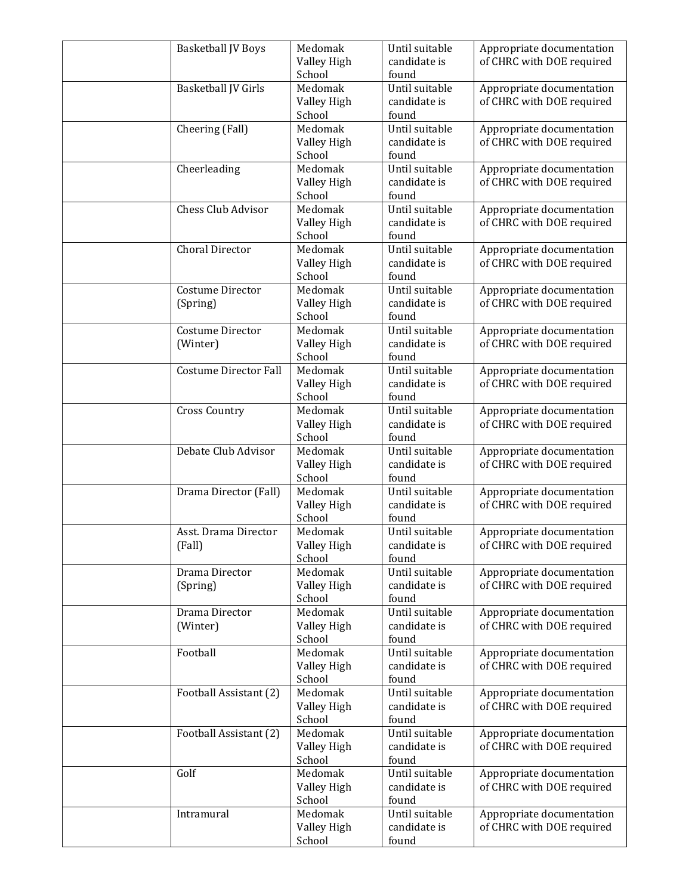| <b>Basketball JV Boys</b>    | Medomak<br>Valley High | Until suitable<br>candidate is | Appropriate documentation<br>of CHRC with DOE required |
|------------------------------|------------------------|--------------------------------|--------------------------------------------------------|
|                              | School                 | found                          |                                                        |
| Basketball JV Girls          | Medomak                | Until suitable<br>candidate is | Appropriate documentation                              |
|                              | Valley High<br>School  | found                          | of CHRC with DOE required                              |
| Cheering (Fall)              | Medomak                | Until suitable                 | Appropriate documentation                              |
|                              | Valley High            | candidate is                   | of CHRC with DOE required                              |
| Cheerleading                 | School<br>Medomak      | found<br>Until suitable        | Appropriate documentation                              |
|                              | Valley High            | candidate is                   | of CHRC with DOE required                              |
|                              | School                 | found                          |                                                        |
| Chess Club Advisor           | Medomak                | Until suitable                 | Appropriate documentation                              |
|                              | Valley High<br>School  | candidate is<br>found          | of CHRC with DOE required                              |
| <b>Choral Director</b>       | Medomak                | Until suitable                 | Appropriate documentation                              |
|                              | Valley High            | candidate is                   | of CHRC with DOE required                              |
|                              | School                 | found<br>Until suitable        |                                                        |
| Costume Director<br>(Spring) | Medomak<br>Valley High | candidate is                   | Appropriate documentation<br>of CHRC with DOE required |
|                              | School                 | found                          |                                                        |
| Costume Director             | Medomak                | Until suitable                 | Appropriate documentation                              |
| (Winter)                     | Valley High            | candidate is                   | of CHRC with DOE required                              |
| <b>Costume Director Fall</b> | School<br>Medomak      | found<br>Until suitable        | Appropriate documentation                              |
|                              | Valley High            | candidate is                   | of CHRC with DOE required                              |
|                              | School                 | found                          |                                                        |
| <b>Cross Country</b>         | Medomak                | Until suitable                 | Appropriate documentation                              |
|                              | Valley High<br>School  | candidate is<br>found          | of CHRC with DOE required                              |
| Debate Club Advisor          | Medomak                | Until suitable                 | Appropriate documentation                              |
|                              | Valley High            | candidate is                   | of CHRC with DOE required                              |
|                              | School<br>Medomak      | found<br>Until suitable        |                                                        |
| Drama Director (Fall)        | Valley High            | candidate is                   | Appropriate documentation<br>of CHRC with DOE required |
|                              | School                 | found                          |                                                        |
| Asst. Drama Director         | Medomak                | Until suitable                 | Appropriate documentation                              |
| (Fall)                       | Valley High<br>School  | candidate is<br>found          | of CHRC with DOE required                              |
| Drama Director               | Medomak                | Until suitable                 | Appropriate documentation                              |
| (Spring)                     | Valley High            | candidate is                   | of CHRC with DOE required                              |
|                              | School                 | found                          |                                                        |
| Drama Director<br>(Winter)   | Medomak<br>Valley High | Until suitable<br>candidate is | Appropriate documentation<br>of CHRC with DOE required |
|                              | School                 | found                          |                                                        |
| Football                     | Medomak                | Until suitable                 | Appropriate documentation                              |
|                              | Valley High            | candidate is                   | of CHRC with DOE required                              |
| Football Assistant (2)       | School<br>Medomak      | found<br>Until suitable        | Appropriate documentation                              |
|                              | Valley High            | candidate is                   | of CHRC with DOE required                              |
|                              | School                 | found                          |                                                        |
| Football Assistant (2)       | Medomak                | Until suitable                 | Appropriate documentation                              |
|                              | Valley High<br>School  | candidate is<br>found          | of CHRC with DOE required                              |
| Golf                         | Medomak                | Until suitable                 | Appropriate documentation                              |
|                              | Valley High            | candidate is                   | of CHRC with DOE required                              |
|                              | School                 | found                          |                                                        |
| Intramural                   | Medomak<br>Valley High | Until suitable<br>candidate is | Appropriate documentation<br>of CHRC with DOE required |
|                              | School                 | found                          |                                                        |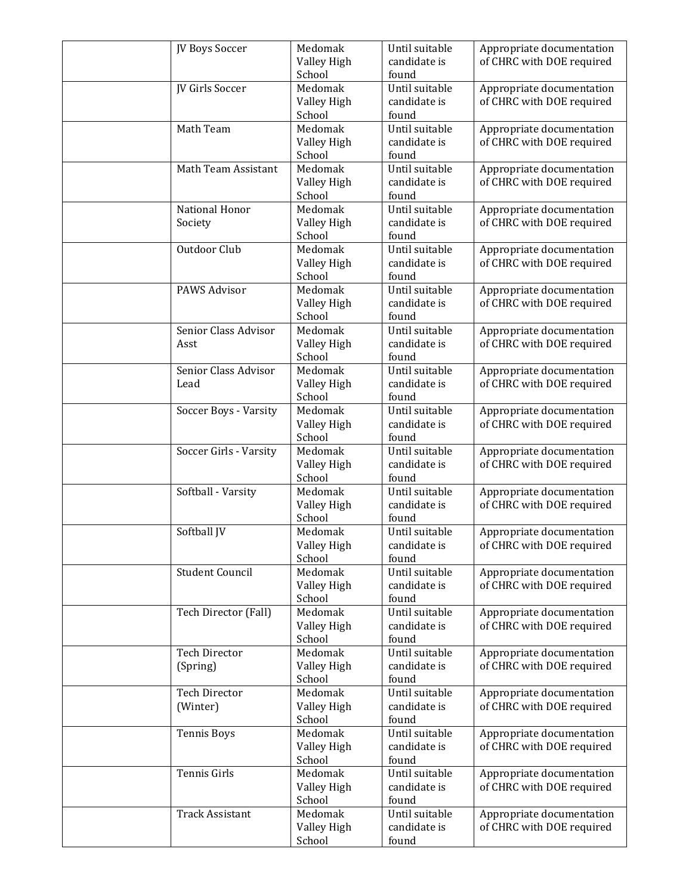| JV Boys Soccer                   | Medomak                | Until suitable                 | Appropriate documentation                              |
|----------------------------------|------------------------|--------------------------------|--------------------------------------------------------|
|                                  | Valley High<br>School  | candidate is<br>found          | of CHRC with DOE required                              |
| JV Girls Soccer                  | Medomak                | Until suitable                 | Appropriate documentation                              |
|                                  | Valley High            | candidate is                   | of CHRC with DOE required                              |
|                                  | School                 | found                          |                                                        |
| Math Team                        | Medomak                | Until suitable                 | Appropriate documentation                              |
|                                  | Valley High            | candidate is                   | of CHRC with DOE required                              |
|                                  | School                 | found                          |                                                        |
| Math Team Assistant              | Medomak<br>Valley High | Until suitable<br>candidate is | Appropriate documentation                              |
|                                  | School                 | found                          | of CHRC with DOE required                              |
| National Honor                   | Medomak                | Until suitable                 | Appropriate documentation                              |
| Society                          | Valley High            | candidate is                   | of CHRC with DOE required                              |
|                                  | School                 | found                          |                                                        |
| Outdoor Club                     | Medomak                | Until suitable                 | Appropriate documentation                              |
|                                  | Valley High            | candidate is                   | of CHRC with DOE required                              |
|                                  | School                 | found                          |                                                        |
| PAWS Advisor                     | Medomak                | Until suitable<br>candidate is | Appropriate documentation<br>of CHRC with DOE required |
|                                  | Valley High<br>School  | found                          |                                                        |
| Senior Class Advisor             | Medomak                | Until suitable                 | Appropriate documentation                              |
| Asst                             | Valley High            | candidate is                   | of CHRC with DOE required                              |
|                                  | School                 | found                          |                                                        |
| Senior Class Advisor             | Medomak                | Until suitable                 | Appropriate documentation                              |
| Lead                             | Valley High            | candidate is                   | of CHRC with DOE required                              |
|                                  | School                 | found                          |                                                        |
| Soccer Boys - Varsity            | Medomak                | Until suitable                 | Appropriate documentation                              |
|                                  | Valley High<br>School  | candidate is<br>found          | of CHRC with DOE required                              |
| Soccer Girls - Varsity           | Medomak                | Until suitable                 | Appropriate documentation                              |
|                                  | Valley High            | candidate is                   | of CHRC with DOE required                              |
|                                  | School                 | found                          |                                                        |
| Softball - Varsity               | Medomak                | Until suitable                 | Appropriate documentation                              |
|                                  | Valley High            | candidate is                   | of CHRC with DOE required                              |
|                                  | School                 | found                          |                                                        |
| Softball JV                      | Medomak                | Until suitable                 | Appropriate documentation                              |
|                                  | Valley High            | candidate is                   | of CHRC with DOE required                              |
| <b>Student Council</b>           | School<br>Medomak      | found<br>Until suitable        | Appropriate documentation                              |
|                                  | Valley High            | candidate is                   | of CHRC with DOE required                              |
|                                  | School                 | found                          |                                                        |
| Tech Director (Fall)             | Medomak                | Until suitable                 | Appropriate documentation                              |
|                                  | Valley High            | candidate is                   | of CHRC with DOE required                              |
|                                  | School                 | found                          |                                                        |
| <b>Tech Director</b>             | Medomak                | Until suitable                 | Appropriate documentation                              |
| (Spring)                         | Valley High            | candidate is                   | of CHRC with DOE required                              |
|                                  | School                 | found                          |                                                        |
| <b>Tech Director</b><br>(Winter) | Medomak<br>Valley High | Until suitable<br>candidate is | Appropriate documentation<br>of CHRC with DOE required |
|                                  | School                 | found                          |                                                        |
| <b>Tennis Boys</b>               | Medomak                | Until suitable                 | Appropriate documentation                              |
|                                  | Valley High            | candidate is                   | of CHRC with DOE required                              |
|                                  | School                 | found                          |                                                        |
| Tennis Girls                     | Medomak                | Until suitable                 | Appropriate documentation                              |
|                                  | Valley High            | candidate is                   | of CHRC with DOE required                              |
|                                  | School                 | found                          |                                                        |
| <b>Track Assistant</b>           | Medomak                | Until suitable                 | Appropriate documentation                              |
|                                  | Valley High            | candidate is                   | of CHRC with DOE required                              |
|                                  | School                 | found                          |                                                        |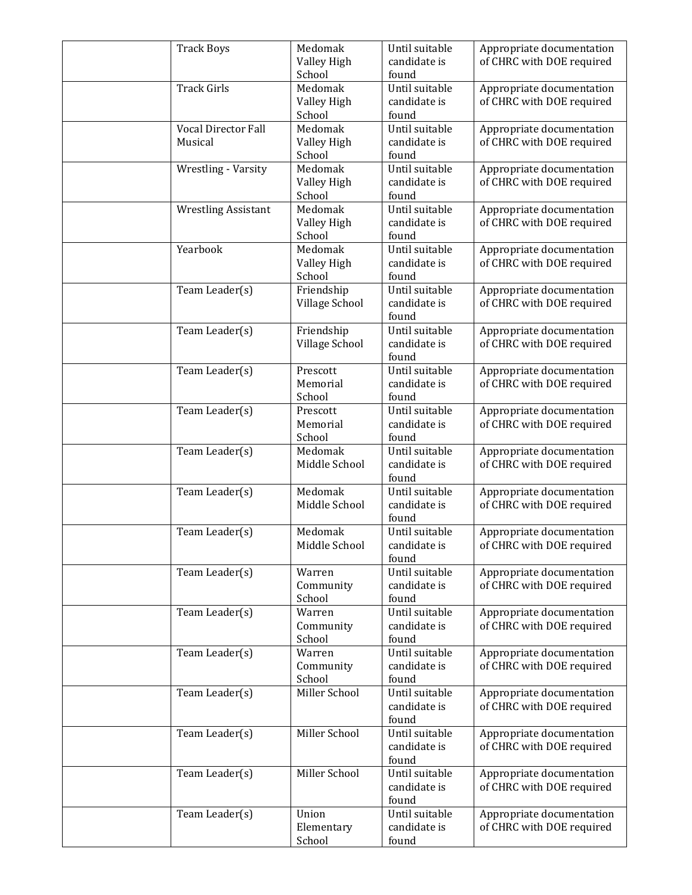| <b>Track Boys</b>              | Medomak<br>Valley High<br>School | Until suitable<br>candidate is<br>found | Appropriate documentation<br>of CHRC with DOE required |
|--------------------------------|----------------------------------|-----------------------------------------|--------------------------------------------------------|
| <b>Track Girls</b>             | Medomak<br>Valley High<br>School | Until suitable<br>candidate is<br>found | Appropriate documentation<br>of CHRC with DOE required |
| Vocal Director Fall<br>Musical | Medomak<br>Valley High<br>School | Until suitable<br>candidate is<br>found | Appropriate documentation<br>of CHRC with DOE required |
| Wrestling - Varsity            | Medomak<br>Valley High<br>School | Until suitable<br>candidate is<br>found | Appropriate documentation<br>of CHRC with DOE required |
| <b>Wrestling Assistant</b>     | Medomak<br>Valley High<br>School | Until suitable<br>candidate is<br>found | Appropriate documentation<br>of CHRC with DOE required |
| Yearbook                       | Medomak<br>Valley High<br>School | Until suitable<br>candidate is<br>found | Appropriate documentation<br>of CHRC with DOE required |
| Team Leader(s)                 | Friendship<br>Village School     | Until suitable<br>candidate is<br>found | Appropriate documentation<br>of CHRC with DOE required |
| Team Leader(s)                 | Friendship<br>Village School     | Until suitable<br>candidate is<br>found | Appropriate documentation<br>of CHRC with DOE required |
| Team Leader(s)                 | Prescott<br>Memorial<br>School   | Until suitable<br>candidate is<br>found | Appropriate documentation<br>of CHRC with DOE required |
| Team Leader(s)                 | Prescott<br>Memorial<br>School   | Until suitable<br>candidate is<br>found | Appropriate documentation<br>of CHRC with DOE required |
| Team Leader(s)                 | Medomak<br>Middle School         | Until suitable<br>candidate is<br>found | Appropriate documentation<br>of CHRC with DOE required |
| Team Leader(s)                 | Medomak<br>Middle School         | Until suitable<br>candidate is<br>found | Appropriate documentation<br>of CHRC with DOE required |
| Team Leader(s)                 | Medomak<br>Middle School         | Until suitable<br>candidate is<br>found | Appropriate documentation<br>of CHRC with DOE required |
| Team Leader(s)                 | Warren<br>Community<br>School    | Until suitable<br>candidate is<br>found | Appropriate documentation<br>of CHRC with DOE required |
| Team Leader(s)                 | Warren<br>Community<br>School    | Until suitable<br>candidate is<br>found | Appropriate documentation<br>of CHRC with DOE required |
| Team Leader(s)                 | Warren<br>Community<br>School    | Until suitable<br>candidate is<br>found | Appropriate documentation<br>of CHRC with DOE required |
| Team Leader(s)                 | Miller School                    | Until suitable<br>candidate is<br>found | Appropriate documentation<br>of CHRC with DOE required |
| Team Leader(s)                 | Miller School                    | Until suitable<br>candidate is<br>found | Appropriate documentation<br>of CHRC with DOE required |
| Team Leader(s)                 | Miller School                    | Until suitable<br>candidate is<br>found | Appropriate documentation<br>of CHRC with DOE required |
| Team Leader(s)                 | Union<br>Elementary<br>School    | Until suitable<br>candidate is<br>found | Appropriate documentation<br>of CHRC with DOE required |